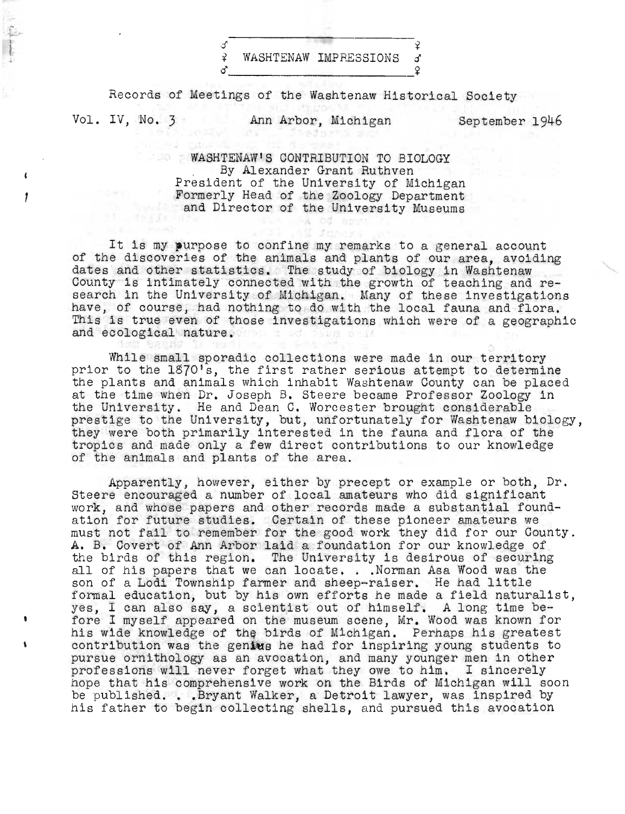$\sim$   $\frac{1}{2}$ ¥ WASHTENAW IMPFESSIONS 0  $\sim$   $\frac{1}{2}$ 

Records of Meetings of the Washtenaw Historical Society

 $\epsilon$ 

Vol. IV, No. 3 Ann Arbor, Michigan September 1946

WASHTENAW'S CONTRIBUTION TO BIOLOGY , By Alexander Grant Ruthven President of the University of Michigan Formerly Head of the Zoology Department and Director of the University Museums

a co see

It is my purpose to confine my remarks to a general account of the discoveries of the animals and plants of our area, avoiding dates and other statistics. The study of biology in Washtenaw County is intimately connected with the growth of teaching and research in the University of Michigan. Many of these investigations have, of course, had nothing to do with the local fauna and flora. This is true even of those investigations which were of a geographic and ecological nature.

While small sporadic collections were made in our territory prior to the 1870's, the first rather serious attempt to determine the plants and animals which inhabit Washtenaw County can be placed at the time when Dr. Joseph B. Steere became Professor Zoology in to the University. He and Dean C. Worcester brought considerable prestige to the University, but, unfortunately for Washtenaw biology, they were both primarily interested in the fauna and flora of the tropics and made only a few direct contributions to our knowledge of the animals and plants of the area.

Apparently, however, either by precept or example or both, Dr. Steere encouraged a number of local amateurs who did significant work, and whose papers and other records made a substantial foundation for future studies. Certain of these pioneer amateurs we must not fail to remember for the good work they did for our County. A. B. Covert of Ann Arbor laid a foundation for our knowledge of the birds of this region. The University is desirous of securing all of his papers that we can locate ... Norman Asa Wood was the all of his papers that we can locate. . .Norman Asa Wood was the son of a Lodi Township farmer and sheep-raiser. He had little formal education, but by his own efforts he made a field naturalist, yes, I can also say, a scientist out of himself. A long time before I myself appeared on the museum scene, Mr. Wood was known for his wide knowledge of the birds of Michigan. Perhaps his greatest contribution was the genius he had for inspiring young students to pursue ornithology as an avocation, and many younger men in other professions will never forget what they owe to him. I sincerely hope that his comprehensive work on the Birds of Michigan will soon be published. . . Bryant Walker, a Detroit lawyer, was inspired by his father to begin collecting shells, and pursued this avocation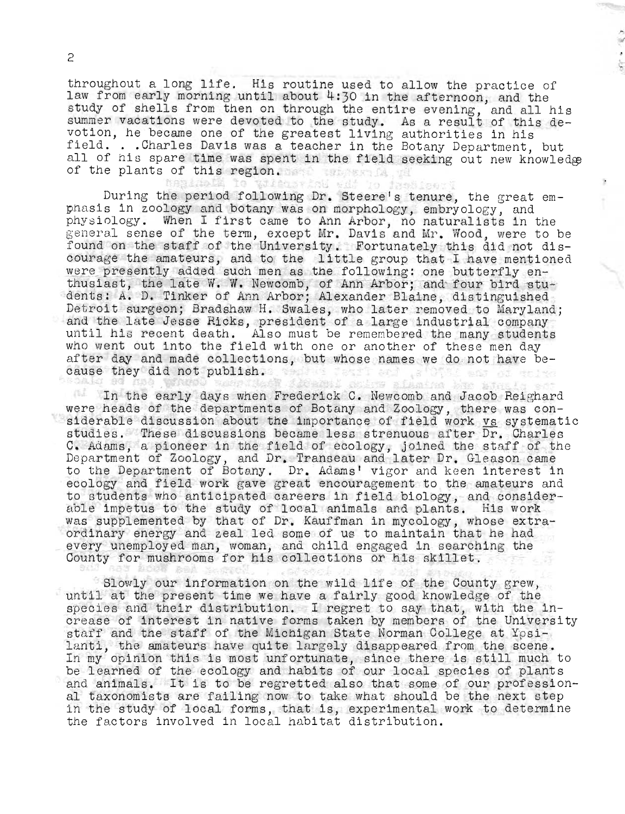throughout a long life. His routine used to allow the practice of law from early morning until about 4:30 in the afternoon, and the study of shells from then on through the entire evening, and all his summer vacations were devoted to the study. As a result of this devotion, he became one of the greatest living authorities in his field. . . Charles Davis was a teacher in the Botany Department, but ield. . .Charles Davis was a teacher in the Botany Department, but<br>ll of his spare time was spent in the field seeking out new knowledge ull of his spare time was spen<br>if the plants of this region.

 $\,$ 

During the period following Dr. Steere's tenure, the great empuring the period following br. Steere's tenure, the great<br>hasis in zoology and botany was on morphology, embryology, and hasis in zoology and botany was on morphology, embryology, and<br>hysiology. When I first came to Ann Arbor, no naturalists in the physiology. When I first came to Ann Arbor, no naturalists in the general sense of the term, except Mr. Davis and Mr. Wood, were to be found on the staff of the University. Fortunately this did not discourage the amateurs, and to the little group that I have mentioned were presently added such men as the following: one butterfly enthusiast, the late W. W. Newcomb, of Ann Arbor; and four bird students: A. D. Tinker of Ann Arbor; Alexander Blaine, distinguished ents: A. D. rinker of Ann Arbor; Alexander Blaine, distinguished;<br>Wetroit surgeon: Bradshaw H. Swales, who later removed to Maryland: etroit surgeon; bradshaw H. Swales, who later removed to Maryland<br>Ind the late Jesse Ricks, president of a large industrial company and the late Jesse Ricks, president of a large industrial company<br>until his recent death. Also must be remembered the many students who went out into the field with one or another of these men day after day and made collections, but whose names we do not have because they did not publish. ੀ ਡਮਾਂ ਤੋ i ard I La Marie L

In the early days when Frederick C. Newcomb and Jacob Reighard were heads of the departments of Botany and Zoology, there was considerable discussion about the importance of field work vs systematic studies. These discussions became less strenuous after Dr. Charles tudies. These discussions became less strenuous after Dr. Charles<br>, Adams, a pioneer in the field of ecology, joined the staff of the ). Adams, a pioneer in the field of ecology, joined the staff of th<br>epartment of Zoology, and Dr. Transeau and later Dr. Gleason came epartment of Zoology, and Dr. Transeau and later Dr. Gleason came<br>o the Department of Botany. Dr. Adams' vigor and keen interest in o the bepartment of botany. Dr. Adams: vigor and keen interest in<br>cology and field work gave great encouragement to the amateurs and to students who anticipated careers in field biology, and considerable impetus to the study of local animals and plants. His work was supplemented by that of Dr. Kauffman in mycology, whose extraordinary energy and zeal led some of us to maintain that he had rainary energy and zeal led some of us to maintain that he had.<br>very unemployed man, woman, and child engaged in searching the very unemployed man, woman, and child engaged in searchi<br>Ounty for mushrooms for his collections or his skillet.

Slowly our information on the wild life of the County grew, until at the present time we have a fairly good knowledge of the species and their distribution. I regret to say that, with the in-<br>crease of interest in native forms taken by members of the University staff and the staff of the Michigan State Norman College at Ypsilanti, the amateurs have quite largely disappeared from the scene. In my opinion this is most unfortunate, since there is still much to be learned of the ecology and habits of our local species of plants e learned of the ecology and habits of our local species of plants<br>.nd animals. It is to be regretted also that some of our professionnd animals. It is to be regretted also that some of our profession<br>I taxonomists are failing now to take what should be the next step al taxonomists are failing now to take what should be the next step<br>in the study of local forms, that is, experimental work to determine the factors involved in local habitat distribution.

2